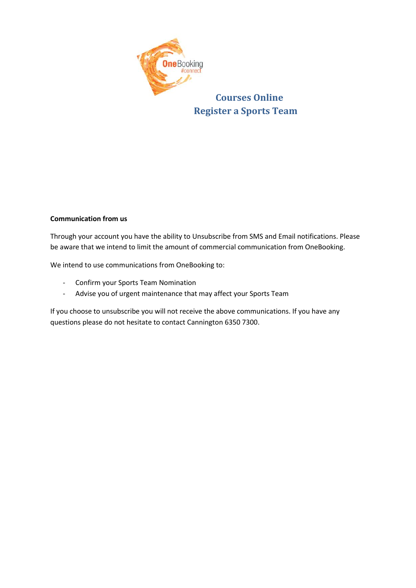

**Courses Online Register a Sports Team**

## **Communication from us**

Through your account you have the ability to Unsubscribe from SMS and Email notifications. Please be aware that we intend to limit the amount of commercial communication from OneBooking.

We intend to use communications from OneBooking to:

- Confirm your Sports Team Nomination
- Advise you of urgent maintenance that may affect your Sports Team

If you choose to unsubscribe you will not receive the above communications. If you have any questions please do not hesitate to contact Cannington 6350 7300.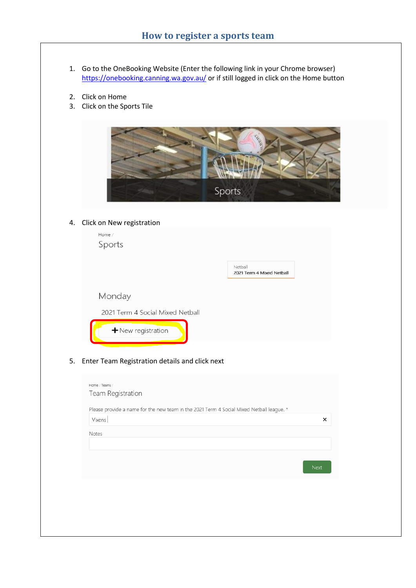- 1. Go to the OneBooking Website (Enter the following link in your Chrome browser) <https://onebooking.canning.wa.gov.au/> or if still logged in click on the Home button
- 2. Click on Home
- 3. Click on the Sports Tile



## 4. Click on New registration

| Home /<br>Sports                 |                                      |
|----------------------------------|--------------------------------------|
|                                  | Netball<br>2021 Term 4 Mixed Netball |
| Monday                           |                                      |
| 2021 Term 4 Social Mixed Netball |                                      |
| $+$ New registration             |                                      |

5. Enter Team Registration details and click next

|        |  | Please provide a name for the new team in the 2021 Term 4 Social Mixed Netball league. * |      |
|--------|--|------------------------------------------------------------------------------------------|------|
| Vixens |  |                                                                                          |      |
| Notes  |  |                                                                                          |      |
|        |  |                                                                                          |      |
|        |  |                                                                                          |      |
|        |  |                                                                                          | Next |